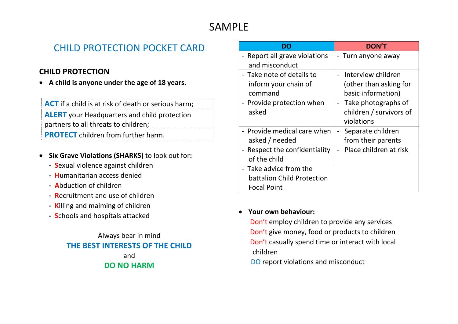## SAMPLE

## CHILD PROTECTION POCKET CARD

### **CHILD PROTECTION**

• **A child is anyone under the age of 18 years.**

**ACT** if a child is at risk of death or serious harm; **ALERT** your Headquarters and child protection partners to all threats to children;

**PROTECT** children from further harm.

- **Six Grave Violations (SHARKS)** to look out for**:**
	- **S**exual violence against children
	- **- H**umanitarian access denied
	- **- A**bduction of children
	- **- R**ecruitment and use of children
	- **- K**illing and maiming of children
	- **- S**chools and hospitals attacked

Always bear in mind **THE BEST INTERESTS OF THE CHILD** and **DO NO HARM**

|                               | <b>DON'T</b>            |
|-------------------------------|-------------------------|
| - Report all grave violations | Turn anyone away        |
| and misconduct                |                         |
| - Take note of details to     | Interview children      |
| inform your chain of          | (other than asking for  |
| command                       | basic information)      |
| - Provide protection when     | - Take photographs of   |
| asked                         | children / survivors of |
|                               | violations              |
| - Provide medical care when   | Separate children       |
| asked / needed                | from their parents      |
| - Respect the confidentiality | Place children at risk  |
| of the child                  |                         |
| - Take advice from the        |                         |
| battalion Child Protection    |                         |
| <b>Focal Point</b>            |                         |

#### • **Your own behaviour:**

Don't employ children to provide any services Don't give money, food or products to children Don't casually spend time or interact with local children

DO report violations and misconduct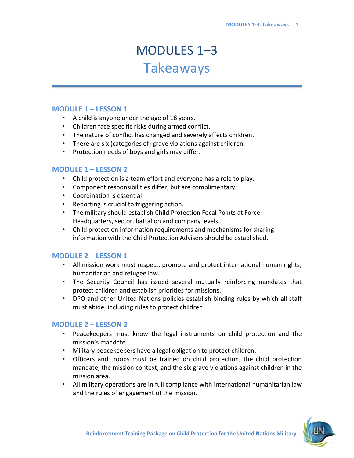# MODULES 1–3 Takeaways

#### **MODULE 1 – LESSON 1**

- A child is anyone under the age of 18 years.
- Children face specific risks during armed conflict.
- The nature of conflict has changed and severely affects children.
- There are six (categories of) grave violations against children.
- Protection needs of boys and girls may differ.

#### **MODULE 1 – LESSON 2**

- Child protection is a team effort and everyone has a role to play.
- Component responsibilities differ, but are complimentary.
- Coordination is essential.
- Reporting is crucial to triggering action.
- The military should establish Child Protection Focal Points at Force Headquarters, sector, battalion and company levels.
- Child protection information requirements and mechanisms for sharing information with the Child Protection Advisers should be established.

#### **MODULE 2 – LESSON 1**

- All mission work must respect, promote and protect international human rights, humanitarian and refugee law.
- The Security Council has issued several mutually reinforcing mandates that protect children and establish priorities for missions.
- DPO and other United Nations policies establish binding rules by which all staff must abide, including rules to protect children.

#### **MODULE 2 – LESSON 2**

- Peacekeepers must know the legal instruments on child protection and the mission's mandate.
- Military peacekeepers have a legal obligation to protect children.
- Officers and troops must be trained on child protection, the child protection mandate, the mission context, and the six grave violations against children in the mission area.
- All military operations are in full compliance with international humanitarian law and the rules of engagement of the mission.

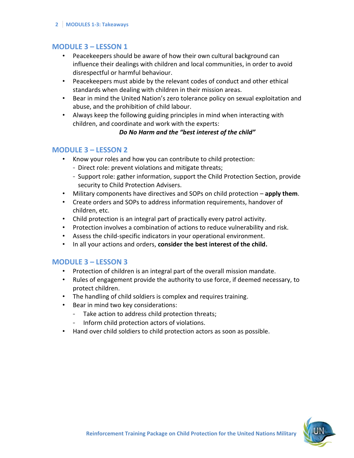#### **2 MODULES 1-3: Takeaways**

#### **MODULE 3 – LESSON 1**

- Peacekeepers should be aware of how their own cultural background can influence their dealings with children and local communities, in order to avoid disrespectful or harmful behaviour.
- Peacekeepers must abide by the relevant codes of conduct and other ethical standards when dealing with children in their mission areas.
- Bear in mind the United Nation's zero tolerance policy on sexual exploitation and abuse, and the prohibition of child labour.
- Always keep the following guiding principles in mind when interacting with children, and coordinate and work with the experts:

#### *Do No Harm and the "best interest of the child"*

#### **MODULE 3 – LESSON 2**

- Know your roles and how you can contribute to child protection:
	- Direct role: prevent violations and mitigate threats;
	- Support role: gather information, support the Child Protection Section, provide security to Child Protection Advisers.
- Military components have directives and SOPs on child protection **apply them**.
- Create orders and SOPs to address information requirements, handover of children, etc.
- Child protection is an integral part of practically every patrol activity.
- Protection involves a combination of actions to reduce vulnerability and risk.
- Assess the child-specific indicators in your operational environment.
- In all your actions and orders, **consider the best interest of the child.**

#### **MODULE 3 – LESSON 3**

- Protection of children is an integral part of the overall mission mandate.
- Rules of engagement provide the authority to use force, if deemed necessary, to protect children.
- The handling of child soldiers is complex and requires training.
- Bear in mind two key considerations:
	- Take action to address child protection threats;
	- Inform child protection actors of violations.
- Hand over child soldiers to child protection actors as soon as possible.